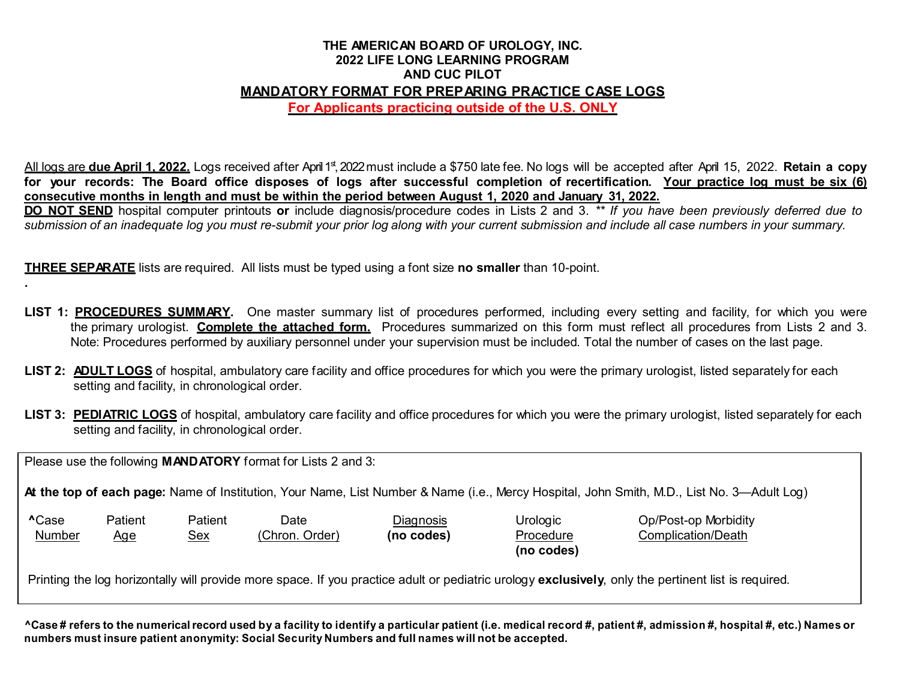## **THE AMERICAN BOARD OF UROLOGY, INC. 2022 LIFE LONG LEARNING PROGRAM AND CUC PILOT MANDATORY FORMAT FOR PREPARING PRACTICE CASE LOGS**

**For Applicants practicing outside of the U.S. ONLY**

All logs are **due April 1, 2022.** Logs received after April1st ,2022must include a \$750 late fee. No logs will be accepted after April 15, 2022. **Retain a copy** for your records: The Board office disposes of logs after successful completion of recertification. Your practice log must be six (6) consecutive months in length and must be within the period between August 1, 2020 and January 31, 2022.

DO NOT SEND hospital computer printouts or include diagnosis/procedure codes in Lists 2 and 3. \*\* If you have been previously deferred due to submission of an inadequate log you must re-submit your prior log along with your current submission and include all case numbers in your summary.

**THREE SEPARATE** lists are required. All lists must be typed using a font size **no smaller** than 10-point.

- **LIST 1: PROCEDURES SUMMARY.** One master summary list of procedures performed, including every setting and facility, for which you were the primary urologist. **Complete the attached form.** Procedures summarized on this form must reflect all procedures from Lists 2 and 3. Note: Procedures performed by auxiliary personnel under your supervision must be included. Total the number of cases on the last page.
- **LIST 2: ADULT LOGS** of hospital, ambulatory care facility and office procedures for which you were the primary urologist, listed separately for each setting and facility, in chronological order.
- LIST 3: PEDIATRIC LOGS of hospital, ambulatory care facility and office procedures for which you were the primary urologist, listed separately for each setting and facility, in chronological order.

Please use the following **MANDATORY** format for Lists 2 and 3:

**.**

**At the top of each page:** Name of Institution, Your Name, List Number & Name (i.e., Mercy Hospital, John Smith, M.D., List No. 3—Adult Log)

| <b>^Case</b> | Patient | Patient | Date                         | <u>Diagnosis</u> | Urologic   | Op/Post-op Morbidity |
|--------------|---------|---------|------------------------------|------------------|------------|----------------------|
| Number       | Aqe     | Sex     | Chron.<br>Order <sup>\</sup> | (no codes)       | Procedure  | Complication/Death   |
|              |         |         |                              |                  | Ino codas) |                      |

**(no codes)**

Printing the log horizontally will provide more space. If you practice adult or pediatric urology **exclusively**, only the pertinent list is required.

^Case # refers to the numerical record used by a facility to identify a particular patient (i.e. medical record #, patient #, admission #, hospital #, etc.) Names or **numbers must insure patient anonymity: Social Security Numbers and full names will not be accepted.**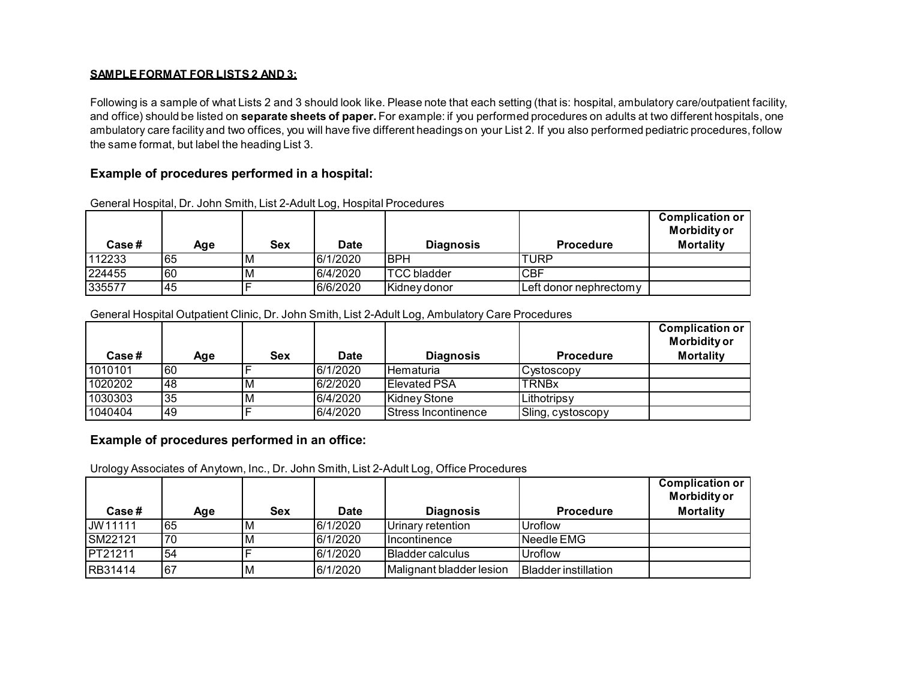#### **SAMPLE FORMAT FOR LISTS 2 AND 3:**

Following is a sample of what Lists 2 and 3 should look like. Please note that each setting (that is: hospital, ambulatory care/outpatient facility, and office) should be listed on **separate sheets of paper.** For example: if you performed procedures on adults at two different hospitals, one ambulatory care facility and two offices, you will have five different headings on your List 2. If you also performed pediatric procedures, follow the same format, but label the heading List 3.

### **Example of procedures performed in a hospital:**

| <b>Case</b> # | Age | Sex | Date     | <b>Diagnosis</b>   | <b>Procedure</b>       | <b>Complication or</b><br><b>Morbidity or</b><br><b>Mortality</b> |
|---------------|-----|-----|----------|--------------------|------------------------|-------------------------------------------------------------------|
| 112233        | 65  | M   | 6/1/2020 | <b>BPH</b>         | <b>TURP</b>            |                                                                   |
| 224455        | 60  | M   | 6/4/2020 | <b>TCC bladder</b> | <b>CBF</b>             |                                                                   |
| 335577        | 45  |     | 6/6/2020 | Kidney donor       | Left donor nephrectomy |                                                                   |

General Hospital, Dr. John Smith, List 2-Adult Log, Hospital Procedures

#### General Hospital Outpatient Clinic, Dr. John Smith, List 2-Adult Log, Ambulatory Care Procedures

| Case#   | Age | <b>Sex</b> | Date     | <b>Diagnosis</b>            | <b>Procedure</b>  | <b>Complication or</b><br><b>Morbidity or</b><br><b>Mortality</b> |
|---------|-----|------------|----------|-----------------------------|-------------------|-------------------------------------------------------------------|
| 1010101 | 60  |            | 6/1/2020 | <b>Hematuria</b>            | Cystoscopy        |                                                                   |
| 1020202 | 48  | M          | 6/2/2020 | <b>Elevated PSA</b>         | <b>TRNBx</b>      |                                                                   |
| 1030303 | '35 | M          | 6/4/2020 | Kidney Stone                | Lithotripsy       |                                                                   |
| 1040404 | 149 |            | 6/4/2020 | <b>IStress Incontinence</b> | Sling, cystoscopy |                                                                   |

### **Example of procedures performed in an office:**

Urology Associates of Anytown, Inc., Dr. John Smith, List 2-Adult Log, Office Procedures

| Case#           | Age | <b>Sex</b> | Date     | <b>Diagnosis</b>           | <b>Procedure</b>            | <b>Complication or</b><br><b>Morbidity or</b><br><b>Mortality</b> |
|-----------------|-----|------------|----------|----------------------------|-----------------------------|-------------------------------------------------------------------|
| JW11111         | 65  | M          | 6/1/2020 | <b>I</b> Urinarv retention | Uroflow                     |                                                                   |
| <b>SM22121</b>  | 70  | M          | 6/1/2020 | Incontinence               | Needle EMG                  |                                                                   |
| <b>IPT21211</b> | 54  |            | 6/1/2020 | <b>IBladder calculus</b>   | Uroflow                     |                                                                   |
| <b>RB31414</b>  | 167 | ΙM         | 6/1/2020 | Malignant bladder lesion   | <b>Bladder instillation</b> |                                                                   |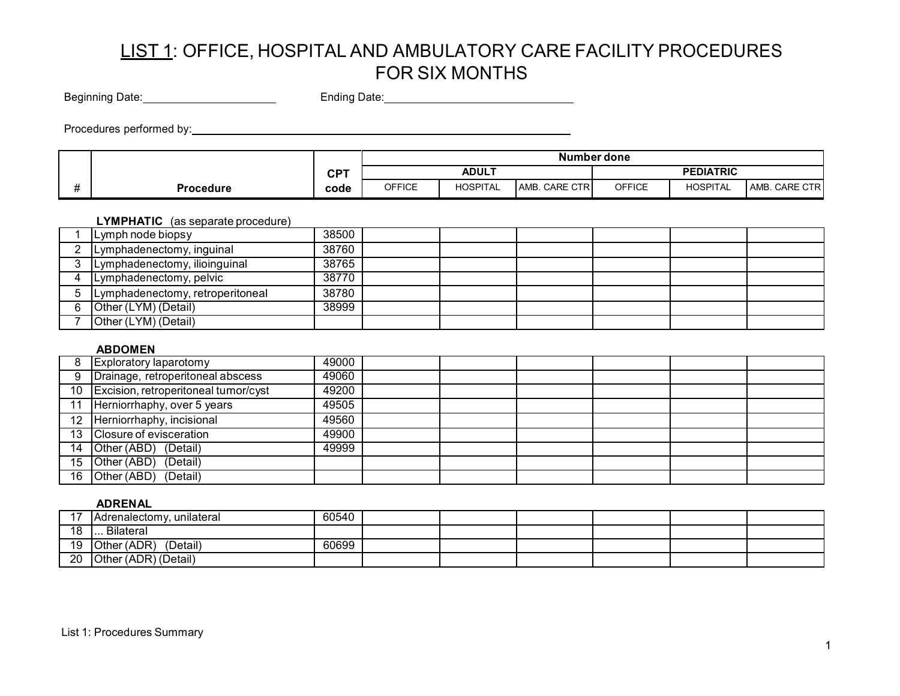Beginning Date: Ending Date: Ending Date: Ending Date:

Procedures performed by:

|                  |            |               |                                  |               | Number done |          |               |
|------------------|------------|---------------|----------------------------------|---------------|-------------|----------|---------------|
|                  | <b>CPT</b> |               | <b>ADULT</b><br><b>PEDIATRIC</b> |               |             |          |               |
| <b>Procedure</b> | code       | <b>OFFICE</b> | <b>HOSPITAL</b>                  | AMB. CARE CTR | OFFICE      | HOSPITAL | AMB. CARE CTR |

### **LYMPHATIC** (as separate procedure)

| Lymph node biopsy                | 38500 |  |  |  |
|----------------------------------|-------|--|--|--|
| Lymphadenectomy, inguinal        | 38760 |  |  |  |
| Lymphadenectomy, ilioinguinal    | 38765 |  |  |  |
| Lymphadenectomy, pelvic          | 38770 |  |  |  |
| Lymphadenectomy, retroperitoneal | 38780 |  |  |  |
| Other (LYM) (Detail)             | 38999 |  |  |  |
| Other (LYM) (Detail)             |       |  |  |  |

#### **ABDOMEN**

| Exploratory laparotomy                  | 49000 |  |  |  |
|-----------------------------------------|-------|--|--|--|
| Drainage, retroperitoneal abscess       | 49060 |  |  |  |
| 10 Excision, retroperitoneal tumor/cyst | 49200 |  |  |  |
| Herniorrhaphy, over 5 years             | 49505 |  |  |  |
| 12 Herniorrhaphy, incisional            | 49560 |  |  |  |
| 13 Closure of evisceration              | 49900 |  |  |  |
| 14 Other (ABD) (Detail)                 | 49999 |  |  |  |
| 15 Other (ABD) (Detail)                 |       |  |  |  |
| 16 Other (ABD) (Detail)                 |       |  |  |  |

#### **ADRENAL**

|     | <b>IAdrenalectomy.</b><br>∵ unilateral | 60540 |  |  |  |
|-----|----------------------------------------|-------|--|--|--|
| 1 Q | <b>Bilateral</b><br>                   |       |  |  |  |
| 19  | Other (ADR)<br>(Detail)                | 60699 |  |  |  |
| 20  | Other (ADR) (Detail)                   |       |  |  |  |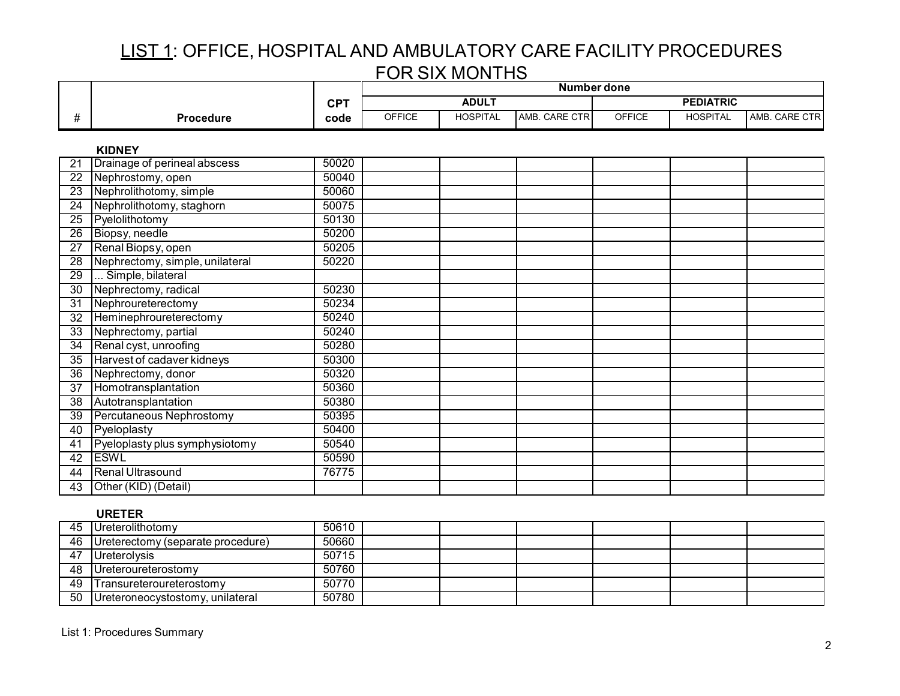|                 |                                 |            | <b>Number done</b> |                 |               |               |                  |               |
|-----------------|---------------------------------|------------|--------------------|-----------------|---------------|---------------|------------------|---------------|
|                 |                                 | <b>CPT</b> |                    | <b>ADULT</b>    |               |               | <b>PEDIATRIC</b> |               |
| #               | <b>Procedure</b>                | code       | <b>OFFICE</b>      | <b>HOSPITAL</b> | AMB. CARE CTR | <b>OFFICE</b> | <b>HOSPITAL</b>  | AMB. CARE CTR |
|                 | <b>KIDNEY</b>                   |            |                    |                 |               |               |                  |               |
| 21              | Drainage of perineal abscess    | 50020      |                    |                 |               |               |                  |               |
| 22              | Nephrostomy, open               | 50040      |                    |                 |               |               |                  |               |
| 23              | Nephrolithotomy, simple         | 50060      |                    |                 |               |               |                  |               |
| 24              | Nephrolithotomy, staghorn       | 50075      |                    |                 |               |               |                  |               |
| 25              | Pyelolithotomy                  | 50130      |                    |                 |               |               |                  |               |
| 26              | Biopsy, needle                  | 50200      |                    |                 |               |               |                  |               |
| $\overline{27}$ | Renal Biopsy, open              | 50205      |                    |                 |               |               |                  |               |
| $\overline{28}$ | Nephrectomy, simple, unilateral | 50220      |                    |                 |               |               |                  |               |
| $\overline{29}$ | Simple, bilateral               |            |                    |                 |               |               |                  |               |
| 30              | Nephrectomy, radical            | 50230      |                    |                 |               |               |                  |               |
| $\overline{31}$ | Nephroureterectomy              | 50234      |                    |                 |               |               |                  |               |
| $\overline{32}$ | Heminephroureterectomy          | 50240      |                    |                 |               |               |                  |               |
| $\overline{33}$ | Nephrectomy, partial            | 50240      |                    |                 |               |               |                  |               |
| $\overline{34}$ | Renal cyst, unroofing           | 50280      |                    |                 |               |               |                  |               |
| $\overline{35}$ | Harvest of cadaver kidneys      | 50300      |                    |                 |               |               |                  |               |
| 36              | Nephrectomy, donor              | 50320      |                    |                 |               |               |                  |               |
| 37              | Homotransplantation             | 50360      |                    |                 |               |               |                  |               |
| $\overline{38}$ | Autotransplantation             | 50380      |                    |                 |               |               |                  |               |
| 39              | Percutaneous Nephrostomy        | 50395      |                    |                 |               |               |                  |               |
| 40              | Pyeloplasty                     | 50400      |                    |                 |               |               |                  |               |
| 41              | Pyeloplasty plus symphysiotomy  | 50540      |                    |                 |               |               |                  |               |
| 42              | <b>ESWL</b>                     | 50590      |                    |                 |               |               |                  |               |
| 44              | <b>Renal Ultrasound</b>         | 76775      |                    |                 |               |               |                  |               |
| 43              | Other (KID) (Detail)            |            |                    |                 |               |               |                  |               |

### **URETER**

| 45 | Ureterolithotomy                  | 50610 |  |  |  |
|----|-----------------------------------|-------|--|--|--|
| 46 | Ureterectomy (separate procedure) | 50660 |  |  |  |
| 47 | Ureterolysis                      | 50715 |  |  |  |
| 48 | Ureteroureterostomy               | 50760 |  |  |  |
| 49 | Transureteroureterostomy          | 50770 |  |  |  |
| 50 | Ureteroneocystostomy, unilateral  | 50780 |  |  |  |

List 1: Procedures Summary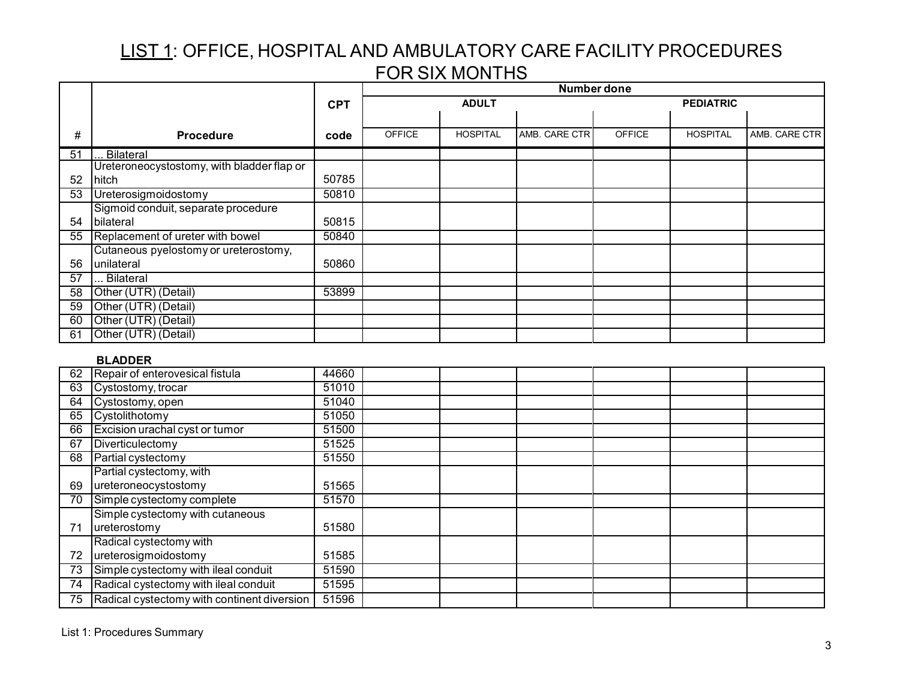|    |                                            |            |               |                 | <b>Number done</b> |               |                  |               |
|----|--------------------------------------------|------------|---------------|-----------------|--------------------|---------------|------------------|---------------|
|    |                                            | <b>CPT</b> |               | <b>ADULT</b>    |                    |               | <b>PEDIATRIC</b> |               |
|    |                                            |            |               |                 |                    |               |                  |               |
| #  | <b>Procedure</b>                           | code       | <b>OFFICE</b> | <b>HOSPITAL</b> | AMB. CARE CTR      | <b>OFFICE</b> | <b>HOSPITAL</b>  | AMB. CARE CTR |
| 51 | <b>Bilateral</b>                           |            |               |                 |                    |               |                  |               |
|    | Ureteroneocystostomy, with bladder flap or |            |               |                 |                    |               |                  |               |
| 52 | hitch                                      | 50785      |               |                 |                    |               |                  |               |
| 53 | Ureterosigmoidostomy                       | 50810      |               |                 |                    |               |                  |               |
|    | Sigmoid conduit, separate procedure        |            |               |                 |                    |               |                  |               |
| 54 | bilateral                                  | 50815      |               |                 |                    |               |                  |               |
| 55 | Replacement of ureter with bowel           | 50840      |               |                 |                    |               |                  |               |
|    | Cutaneous pyelostomy or ureterostomy,      |            |               |                 |                    |               |                  |               |
| 56 | unilateral                                 | 50860      |               |                 |                    |               |                  |               |
| 57 | Bilateral                                  |            |               |                 |                    |               |                  |               |
| 58 | Other (UTR) (Detail)                       | 53899      |               |                 |                    |               |                  |               |
| 59 | Other (UTR) (Detail)                       |            |               |                 |                    |               |                  |               |
| 60 | Other (UTR) (Detail)                       |            |               |                 |                    |               |                  |               |
| 61 | Other (UTR) (Detail)                       |            |               |                 |                    |               |                  |               |

### **BLADDER**

| 62 | Repair of enterovesical fistula             | 44660 |  |  |  |
|----|---------------------------------------------|-------|--|--|--|
| 63 | Cystostomy, trocar                          | 51010 |  |  |  |
| 64 | Cystostomy, open                            | 51040 |  |  |  |
| 65 | Cystolithotomy                              | 51050 |  |  |  |
| 66 | Excision urachal cyst or tumor              | 51500 |  |  |  |
| 67 | Diverticulectomy                            | 51525 |  |  |  |
| 68 | Partial cystectomy                          | 51550 |  |  |  |
|    | Partial cystectomy, with                    |       |  |  |  |
| 69 | ureteroneocystostomy                        | 51565 |  |  |  |
| 70 | Simple cystectomy complete                  | 51570 |  |  |  |
|    | Simple cystectomy with cutaneous            |       |  |  |  |
| 71 | ureterostomy                                | 51580 |  |  |  |
|    | Radical cystectomy with                     |       |  |  |  |
| 72 | ureterosigmoidostomy                        | 51585 |  |  |  |
| 73 | Simple cystectomy with ileal conduit        | 51590 |  |  |  |
| 74 | Radical cystectomy with ileal conduit       | 51595 |  |  |  |
| 75 | Radical cystectomy with continent diversion | 51596 |  |  |  |
|    |                                             |       |  |  |  |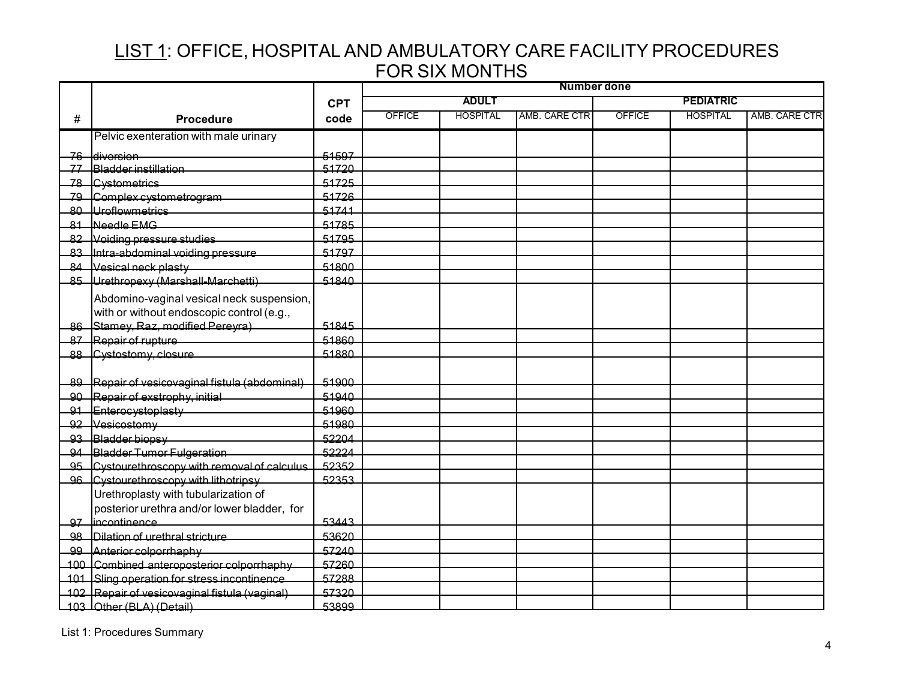|   |                                                |            | <b>Number done</b> |                 |               |               |                  |               |
|---|------------------------------------------------|------------|--------------------|-----------------|---------------|---------------|------------------|---------------|
|   |                                                | <b>CPT</b> |                    | <b>ADULT</b>    |               |               | <b>PEDIATRIC</b> |               |
| # | <b>Procedure</b>                               | code       | <b>OFFICE</b>      | <b>HOSPITAL</b> | AMB. CARE CTR | <b>OFFICE</b> | <b>HOSPITAL</b>  | AMB. CARE CTR |
|   | Pelvic exenteration with male urinary          |            |                    |                 |               |               |                  |               |
|   | 76 diversion                                   | 51597      |                    |                 |               |               |                  |               |
|   | <u>77 Bladder instillation</u>                 | 51720      |                    |                 |               |               |                  |               |
|   | 78 Cystometrics                                | 51725      |                    |                 |               |               |                  |               |
|   | 79 Complex cystometrogram                      | 51726      |                    |                 |               |               |                  |               |
|   | 80 Uroflowmetrics                              | 51741      |                    |                 |               |               |                  |               |
|   | 81 Needle EMG                                  | 51785      |                    |                 |               |               |                  |               |
|   | 82 Voiding pressure studies                    | 51795      |                    |                 |               |               |                  |               |
|   | 83 Intra-abdominal voiding pressure            | 51797      |                    |                 |               |               |                  |               |
|   | 84 Vesical neck plasty                         | 51800      |                    |                 |               |               |                  |               |
|   | 85 Urethropexy (Marshall-Marchetti)            | 51840      |                    |                 |               |               |                  |               |
|   | Abdomino-vaginal vesical neck suspension,      |            |                    |                 |               |               |                  |               |
|   | with or without endoscopic control (e.g.,      |            |                    |                 |               |               |                  |               |
|   | 86 Stamey, Raz, modified Pereyra)              | 51845      |                    |                 |               |               |                  |               |
|   | 87 Repair of rupture                           | 51860      |                    |                 |               |               |                  |               |
|   | 88 Cystostomy, closure                         | 51880      |                    |                 |               |               |                  |               |
|   |                                                |            |                    |                 |               |               |                  |               |
|   | 89 Repair of vesicovaginal fistula (abdominal) | 51900      |                    |                 |               |               |                  |               |
|   | 90 Repair of exstrophy, initial                | 51940      |                    |                 |               |               |                  |               |
|   | 91 Enterocystoplasty                           | 51960      |                    |                 |               |               |                  |               |
|   | 92 Vesicostomy                                 | 51980      |                    |                 |               |               |                  |               |
|   | 93 Bladder biopsy                              | 52204      |                    |                 |               |               |                  |               |
|   | 94 Bladder Tumor Fulgeration                   | 52224      |                    |                 |               |               |                  |               |
|   | 95 Cystourethroscopy with removal of calculus  | 52352      |                    |                 |               |               |                  |               |
|   | 96 Cystourethroscopy with lithotripsy          | 52353      |                    |                 |               |               |                  |               |
|   | Urethroplasty with tubularization of           |            |                    |                 |               |               |                  |               |
|   | posterior urethra and/or lower bladder, for    |            |                    |                 |               |               |                  |               |
|   | 97 lincontinence                               | 53443      |                    |                 |               |               |                  |               |
|   | 98 <b>Dilation of urethral stricture</b>       | 53620      |                    |                 |               |               |                  |               |
|   | 99 Anterior colporrhaphy                       | 57240      |                    |                 |               |               |                  |               |
|   | 100 Combined anteroposterior colporrhaphy      | 57260      |                    |                 |               |               |                  |               |
|   | 101 Sling operation for stress incontinence    | 57288      |                    |                 |               |               |                  |               |
|   | 102 Repair of vesicovaginal fistula (vaginal)  | 57320      |                    |                 |               |               |                  |               |
|   | 103 LOther (BLA) (Detail)                      | 53899      |                    |                 |               |               |                  |               |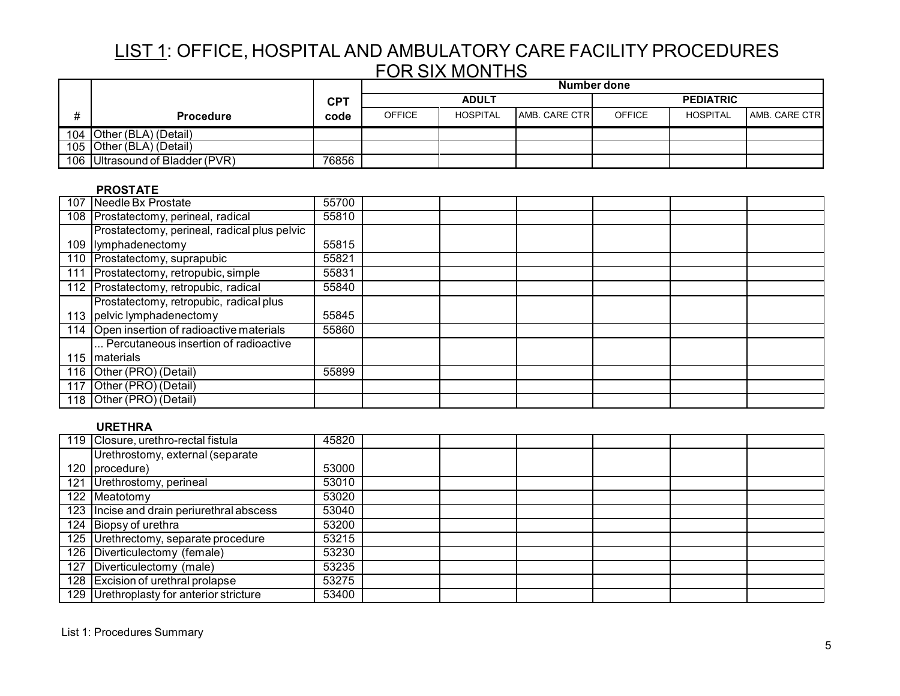|                                 |            |               | Number done     |               |               |                  |                      |  |  |
|---------------------------------|------------|---------------|-----------------|---------------|---------------|------------------|----------------------|--|--|
|                                 | <b>CPT</b> |               | <b>ADULT</b>    |               |               | <b>PEDIATRIC</b> |                      |  |  |
| <b>Procedure</b>                | code       | <b>OFFICE</b> | <b>HOSPITAL</b> | AMB. CARE CTR | <b>OFFICE</b> | HOSPITAL         | <b>AMB. CARE CTR</b> |  |  |
| 104 Other (BLA) (Detail)        |            |               |                 |               |               |                  |                      |  |  |
| 105 Other (BLA) (Detail)        |            |               |                 |               |               |                  |                      |  |  |
| 106 Ultrasound of Bladder (PVR) | 76856      |               |                 |               |               |                  |                      |  |  |

### **PROSTATE**

| 107 Needle Bx Prostate                       | 55700 |  |  |  |
|----------------------------------------------|-------|--|--|--|
| 108 Prostatectomy, perineal, radical         | 55810 |  |  |  |
| Prostatectomy, perineal, radical plus pelvic |       |  |  |  |
| 109 lymphadenectomy                          | 55815 |  |  |  |
| 110 Prostatectomy, suprapubic                | 55821 |  |  |  |
| 111 Prostatectomy, retropubic, simple        | 55831 |  |  |  |
| 112 Prostatectomy, retropubic, radical       | 55840 |  |  |  |
| Prostatectomy, retropubic, radical plus      |       |  |  |  |
| 113 pelvic lymphadenectomy                   | 55845 |  |  |  |
| 114 Open insertion of radioactive materials  | 55860 |  |  |  |
| Percutaneous insertion of radioactive        |       |  |  |  |
| 115   materials                              |       |  |  |  |
| 116 Other (PRO) (Detail)                     | 55899 |  |  |  |
| 117 Other (PRO) (Detail)                     |       |  |  |  |
| 118 Other (PRO) (Detail)                     |       |  |  |  |

### **URETHRA**

| 119 Closure, urethro-rectal fistula       | 45820 |  |  |  |
|-------------------------------------------|-------|--|--|--|
| Urethrostomy, external (separate          |       |  |  |  |
| 120   procedure)                          | 53000 |  |  |  |
| 121 Urethrostomy, perineal                | 53010 |  |  |  |
| 122 Meatotomy                             | 53020 |  |  |  |
| 123 Incise and drain periurethral abscess | 53040 |  |  |  |
| 124 Biopsy of urethra                     | 53200 |  |  |  |
| 125 Urethrectomy, separate procedure      | 53215 |  |  |  |
| 126 Diverticulectomy (female)             | 53230 |  |  |  |
| 127 Diverticulectomy (male)               | 53235 |  |  |  |
| 128 Excision of urethral prolapse         | 53275 |  |  |  |
| 129 Urethroplasty for anterior stricture  | 53400 |  |  |  |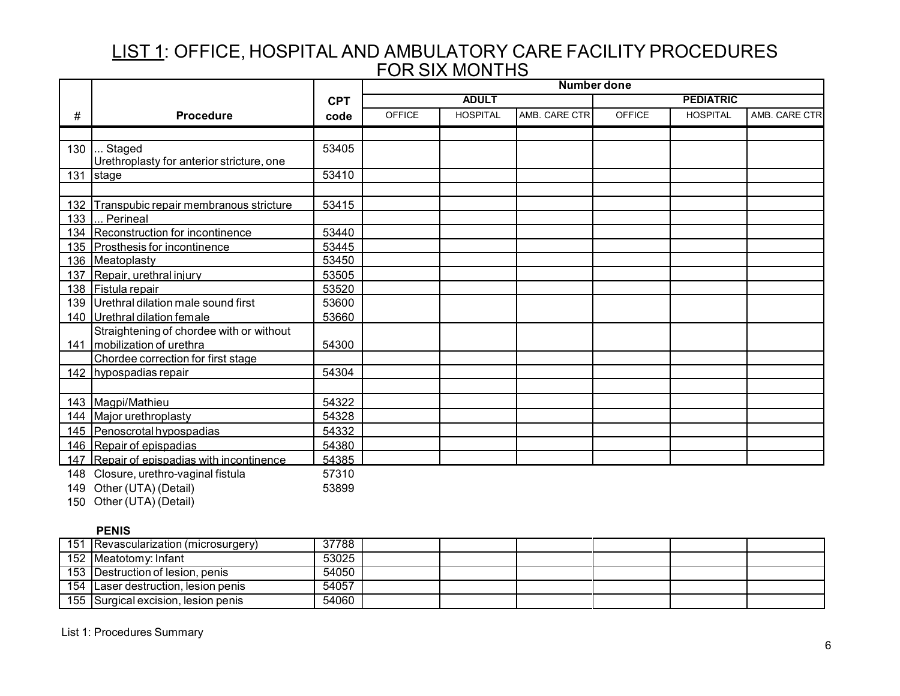|     |                                                                           |            | <b>Number done</b> |                 |               |               |                  |               |
|-----|---------------------------------------------------------------------------|------------|--------------------|-----------------|---------------|---------------|------------------|---------------|
|     |                                                                           | <b>CPT</b> |                    | <b>ADULT</b>    |               |               | <b>PEDIATRIC</b> |               |
| #   | <b>Procedure</b>                                                          | code       | <b>OFFICE</b>      | <b>HOSPITAL</b> | AMB. CARE CTR | <b>OFFICE</b> | <b>HOSPITAL</b>  | AMB. CARE CTR |
|     |                                                                           |            |                    |                 |               |               |                  |               |
| 130 | Staged<br>Urethroplasty for anterior stricture, one                       | 53405      |                    |                 |               |               |                  |               |
| 131 | stage                                                                     | 53410      |                    |                 |               |               |                  |               |
|     |                                                                           |            |                    |                 |               |               |                  |               |
|     | 132 Transpubic repair membranous stricture                                | 53415      |                    |                 |               |               |                  |               |
| 133 | Perineal                                                                  |            |                    |                 |               |               |                  |               |
|     | 134 Reconstruction for incontinence                                       | 53440      |                    |                 |               |               |                  |               |
|     | 135 Prosthesis for incontinence                                           | 53445      |                    |                 |               |               |                  |               |
|     | 136 Meatoplasty                                                           | 53450      |                    |                 |               |               |                  |               |
|     | 137 Repair, urethral injury                                               | 53505      |                    |                 |               |               |                  |               |
|     | 138 Fistula repair                                                        | 53520      |                    |                 |               |               |                  |               |
| 139 | Urethral dilation male sound first                                        | 53600      |                    |                 |               |               |                  |               |
|     | 140   Urethral dilation female                                            | 53660      |                    |                 |               |               |                  |               |
|     | Straightening of chordee with or without<br>141   mobilization of urethra | 54300      |                    |                 |               |               |                  |               |
|     | Chordee correction for first stage                                        |            |                    |                 |               |               |                  |               |
|     | 142 hypospadias repair                                                    | 54304      |                    |                 |               |               |                  |               |
|     |                                                                           |            |                    |                 |               |               |                  |               |
|     | 143 Magpi/Mathieu                                                         | 54322      |                    |                 |               |               |                  |               |
|     | 144 Major urethroplasty                                                   | 54328      |                    |                 |               |               |                  |               |
|     | 145 Penoscrotal hypospadias                                               | 54332      |                    |                 |               |               |                  |               |
|     | 146 Repair of epispadias                                                  | 54380      |                    |                 |               |               |                  |               |
|     | 147 Repair of epispadias with incontinence                                | 54385      |                    |                 |               |               |                  |               |
| 148 | Closure, urethro-vaginal fistula                                          | 57310      |                    |                 |               |               |                  |               |
|     | 149 Other (UTA) (Detail)                                                  | 53899      |                    |                 |               |               |                  |               |

150 Other (UTA) (Detail)

## **PENIS**

| 151 Revascularization (microsurgery) | 37788 |  |  |  |
|--------------------------------------|-------|--|--|--|
| 152 Meatotomy: Infant                | 53025 |  |  |  |
| 153 Destruction of lesion, penis     | 54050 |  |  |  |
| 154 Laser destruction, lesion penis  | 54057 |  |  |  |
| 155 Surgical excision, lesion penis  | 54060 |  |  |  |

List 1: Procedures Summary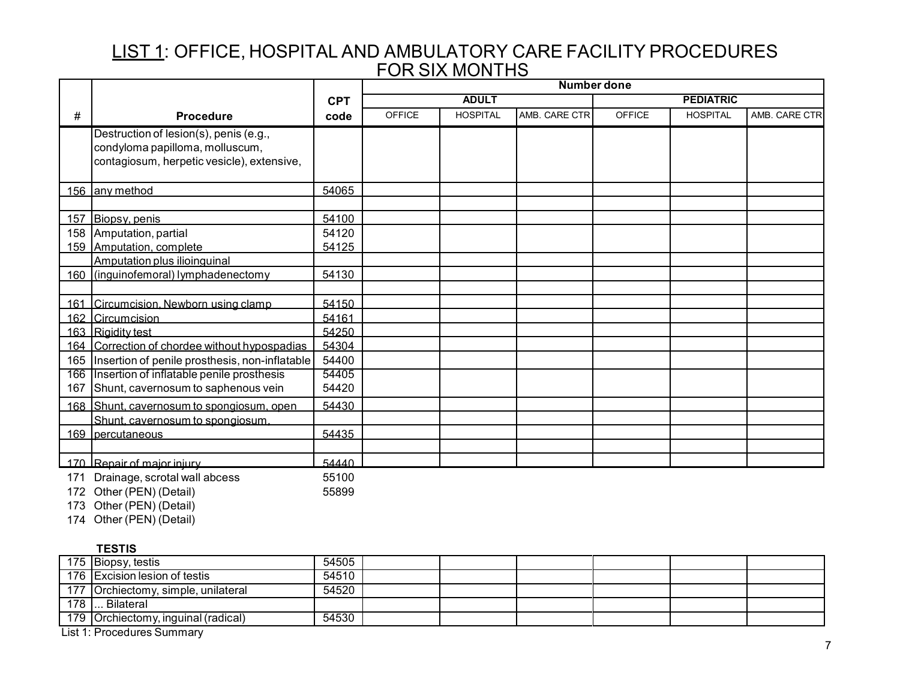|     |                                                                                                                         |                | <b>Number done</b> |                 |               |               |                  |               |
|-----|-------------------------------------------------------------------------------------------------------------------------|----------------|--------------------|-----------------|---------------|---------------|------------------|---------------|
|     |                                                                                                                         | <b>CPT</b>     |                    | <b>ADULT</b>    |               |               | <b>PEDIATRIC</b> |               |
| #   | <b>Procedure</b>                                                                                                        | code           | <b>OFFICE</b>      | <b>HOSPITAL</b> | AMB. CARE CTR | <b>OFFICE</b> | <b>HOSPITAL</b>  | AMB. CARE CTR |
|     | Destruction of lesion(s), penis (e.g.,<br>condyloma papilloma, molluscum,<br>contagiosum, herpetic vesicle), extensive, |                |                    |                 |               |               |                  |               |
|     |                                                                                                                         |                |                    |                 |               |               |                  |               |
|     | 156 any method                                                                                                          | 54065          |                    |                 |               |               |                  |               |
|     | 157 Biopsy, penis                                                                                                       | 54100          |                    |                 |               |               |                  |               |
| 158 | Amputation, partial<br>159 Amputation, complete                                                                         | 54120<br>54125 |                    |                 |               |               |                  |               |
|     | Amputation plus ilioinguinal                                                                                            |                |                    |                 |               |               |                  |               |
|     | 160 (inguinofemoral) lymphadenectomy                                                                                    | 54130          |                    |                 |               |               |                  |               |
|     |                                                                                                                         |                |                    |                 |               |               |                  |               |
|     | 161 Circumcision, Newborn using clamp                                                                                   | 54150          |                    |                 |               |               |                  |               |
|     | 162 Circumcision                                                                                                        | 54161          |                    |                 |               |               |                  |               |
|     | 163 Rigidity test                                                                                                       | 54250          |                    |                 |               |               |                  |               |
|     | 164 Correction of chordee without hypospadias                                                                           | 54304          |                    |                 |               |               |                  |               |
|     | 165   Insertion of penile prosthesis, non-inflatable                                                                    | 54400          |                    |                 |               |               |                  |               |
| 167 | 166 Insertion of inflatable penile prosthesis<br>Shunt, cavernosum to saphenous vein                                    | 54405<br>54420 |                    |                 |               |               |                  |               |
|     | 168 Shunt, cavernosum to spongiosum, open                                                                               | 54430          |                    |                 |               |               |                  |               |
|     | Shunt, cavernosum to spongiosum,                                                                                        |                |                    |                 |               |               |                  |               |
|     | 169 percutaneous                                                                                                        | 54435          |                    |                 |               |               |                  |               |
|     |                                                                                                                         |                |                    |                 |               |               |                  |               |
|     | 170 Repair of major injury                                                                                              | 54440          |                    |                 |               |               |                  |               |
|     | 171 Drainage, scrotal wall abcess                                                                                       | 55100          |                    |                 |               |               |                  |               |

172 Other (PEN) (Detail) 55899

173 Other (PEN) (Detail)

174 Other (PEN) (Detail)

### **TESTIS**

|     | 175 Biopsy, testis                  | 54505 |  |  |  |
|-----|-------------------------------------|-------|--|--|--|
|     | 176 Excision lesion of testis       | 54510 |  |  |  |
|     | 177 Orchiectomy, simple, unilateral | 54520 |  |  |  |
| 178 | . Bilateral                         |       |  |  |  |
|     | 179 Orchiectomy, inguinal (radical) | 54530 |  |  |  |
|     |                                     |       |  |  |  |

List 1: Procedures Summary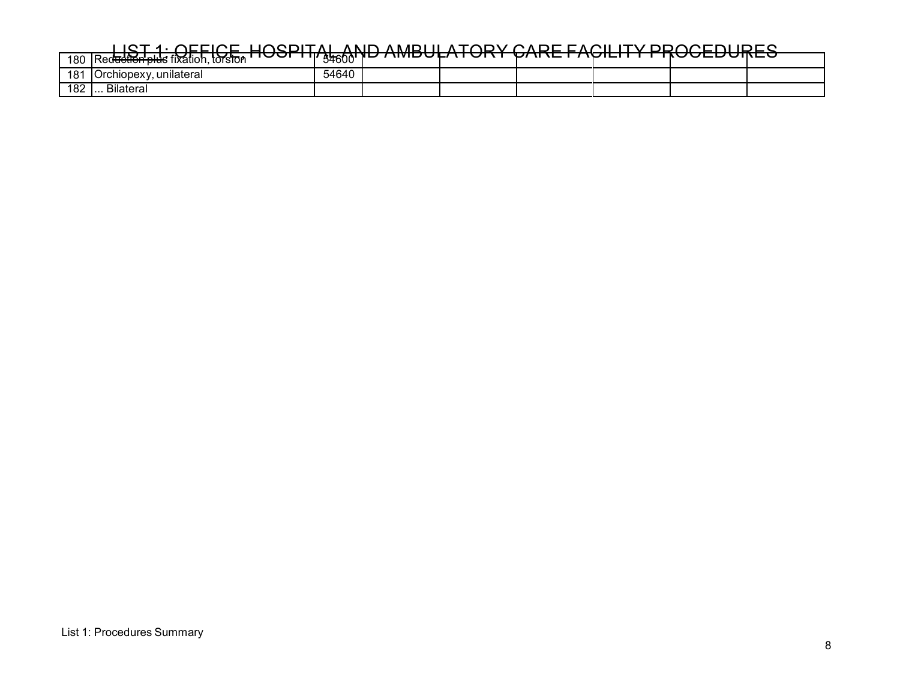| 180 | $\overline{\phantom{a}}$<br>.<br>. torston<br>TRed <del>uction plu</del> s fixation. | ' 'I' s <del>a</del> ann'<br>טשרע | -- | ______________________ | --<br>. <i>.</i> . | . | - - - - - - - - - - - - - - |  |
|-----|--------------------------------------------------------------------------------------|-----------------------------------|----|------------------------|--------------------|---|-----------------------------|--|
| 181 | unilateral<br><b>IOrchiopexy</b>                                                     | 54640                             |    |                        |                    |   |                             |  |
| 182 | . Bilateral<br>.                                                                     |                                   |    |                        |                    |   |                             |  |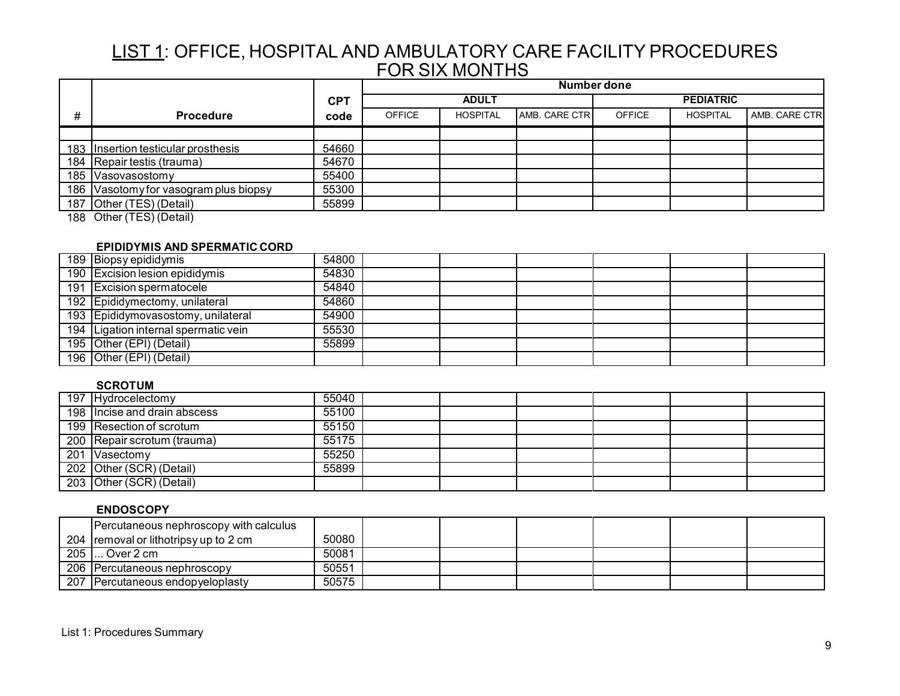|   |                                                 |            | Number done   |                 |                       |               |                  |               |  |
|---|-------------------------------------------------|------------|---------------|-----------------|-----------------------|---------------|------------------|---------------|--|
|   |                                                 | <b>CPT</b> |               | <b>ADULT</b>    |                       |               | <b>PEDIATRIC</b> |               |  |
| # | <b>Procedure</b>                                | code       | <b>OFFICE</b> | <b>HOSPITAL</b> | <b>AMB. CARE CTRI</b> | <b>OFFICE</b> | <b>HOSPITAL</b>  | AMB. CARE CTR |  |
|   |                                                 |            |               |                 |                       |               |                  |               |  |
|   | 183   Insertion testicular prosthesis           | 54660      |               |                 |                       |               |                  |               |  |
|   | 184 Repair testis (trauma)                      | 54670      |               |                 |                       |               |                  |               |  |
|   | 185 Vasovasostomy                               | 55400      |               |                 |                       |               |                  |               |  |
|   | 186 Vasotomy for vasogram plus biopsy           | 55300      |               |                 |                       |               |                  |               |  |
|   | 187 Other (TES) (Detail)                        | 55899      |               |                 |                       |               |                  |               |  |
|   | $(1 - 1)$<br>$\sim$ $\sim$ $\sim$ $\sim$ $\sim$ |            |               |                 |                       |               |                  |               |  |

188 Other (TES) (Detail)

### **EPIDIDYMIS AND SPERMATIC CORD**

| 189 Biopsy epididymis                | 54800 |  |  |  |
|--------------------------------------|-------|--|--|--|
| 190 Excision lesion epididymis       | 54830 |  |  |  |
| 191 Excision spermatocele            | 54840 |  |  |  |
| 192 Epididymectomy, unilateral       | 54860 |  |  |  |
| 193 Epididymovasostomy, unilateral   | 54900 |  |  |  |
| 194 Ligation internal spermatic vein | 55530 |  |  |  |
| 195 Other (EPI) (Detail)             | 55899 |  |  |  |
| 196 Other (EPI) (Detail)             |       |  |  |  |

### **SCROTUM**

| 197 Hydrocelectomy           | 55040                    |  |  |  |
|------------------------------|--------------------------|--|--|--|
| 198 Incise and drain abscess | 55100                    |  |  |  |
|                              | 55150                    |  |  |  |
| 200 Repair scrotum (trauma)  | 55175                    |  |  |  |
| 201 Vasectomy                | 55250                    |  |  |  |
| 202 Other (SCR) (Detail)     | 55899                    |  |  |  |
| 203 Other (SCR) (Detail)     |                          |  |  |  |
|                              | 199 Resection of scrotum |  |  |  |

#### **ENDOSCOPY**

|     | Percutaneous nephroscopy with calculus           |       |  |  |  |
|-----|--------------------------------------------------|-------|--|--|--|
|     | 204 removal or lithotripsy up to 2 cm            | 50080 |  |  |  |
| 205 | $\mathsf{l}_\mathsf{u}$ . Over 2 cm $\mathsf{l}$ | 50081 |  |  |  |
|     | 206 Percutaneous nephroscopy                     | 50551 |  |  |  |
|     | 207 Percutaneous endopyeloplasty                 | 50575 |  |  |  |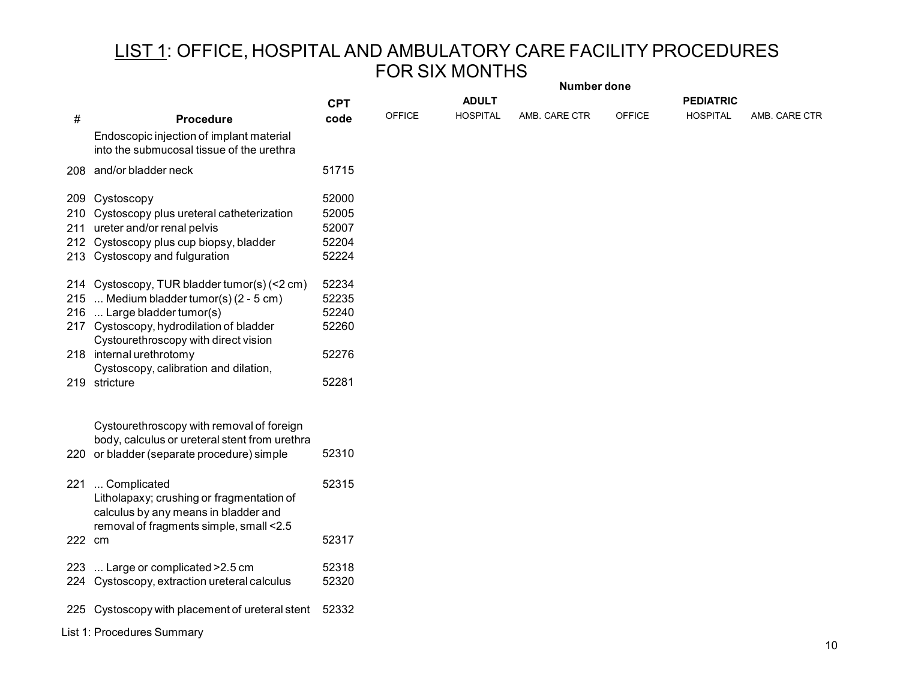|        |                                                                                                                                                                                                                                                                                  | Number done                               |               |                 |               |               |                  |               |
|--------|----------------------------------------------------------------------------------------------------------------------------------------------------------------------------------------------------------------------------------------------------------------------------------|-------------------------------------------|---------------|-----------------|---------------|---------------|------------------|---------------|
|        |                                                                                                                                                                                                                                                                                  | <b>CPT</b>                                |               | <b>ADULT</b>    |               |               | <b>PEDIATRIC</b> |               |
| #      | <b>Procedure</b>                                                                                                                                                                                                                                                                 | code                                      | <b>OFFICE</b> | <b>HOSPITAL</b> | AMB. CARE CTR | <b>OFFICE</b> | <b>HOSPITAL</b>  | AMB. CARE CTR |
|        | Endoscopic injection of implant material<br>into the submucosal tissue of the urethra                                                                                                                                                                                            |                                           |               |                 |               |               |                  |               |
|        | 208 and/or bladder neck                                                                                                                                                                                                                                                          | 51715                                     |               |                 |               |               |                  |               |
|        | 209 Cystoscopy<br>210 Cystoscopy plus ureteral catheterization<br>211 ureter and/or renal pelvis<br>212 Cystoscopy plus cup biopsy, bladder<br>213 Cystoscopy and fulguration                                                                                                    | 52000<br>52005<br>52007<br>52204<br>52224 |               |                 |               |               |                  |               |
|        | 214 Cystoscopy, TUR bladder tumor(s) (< 2 cm)<br>215  Medium bladder tumor(s) (2 - 5 cm)<br>216  Large bladder tumor(s)<br>217 Cystoscopy, hydrodilation of bladder<br>Cystourethroscopy with direct vision<br>218 internal urethrotomy<br>Cystoscopy, calibration and dilation, | 52234<br>52235<br>52240<br>52260<br>52276 |               |                 |               |               |                  |               |
|        | 219 stricture                                                                                                                                                                                                                                                                    | 52281                                     |               |                 |               |               |                  |               |
|        | Cystourethroscopy with removal of foreign<br>body, calculus or ureteral stent from urethra<br>220 or bladder (separate procedure) simple                                                                                                                                         | 52310                                     |               |                 |               |               |                  |               |
|        | 221  Complicated<br>Litholapaxy; crushing or fragmentation of<br>calculus by any means in bladder and<br>removal of fragments simple, small <2.5                                                                                                                                 | 52315                                     |               |                 |               |               |                  |               |
| 222 cm |                                                                                                                                                                                                                                                                                  | 52317                                     |               |                 |               |               |                  |               |
|        | 223  Large or complicated > 2.5 cm<br>224 Cystoscopy, extraction ureteral calculus                                                                                                                                                                                               | 52318<br>52320                            |               |                 |               |               |                  |               |
|        | 225 Cystoscopy with placement of ureteral stent                                                                                                                                                                                                                                  | 52332                                     |               |                 |               |               |                  |               |
|        | List 1: Procedures Summary                                                                                                                                                                                                                                                       |                                           |               |                 |               |               |                  |               |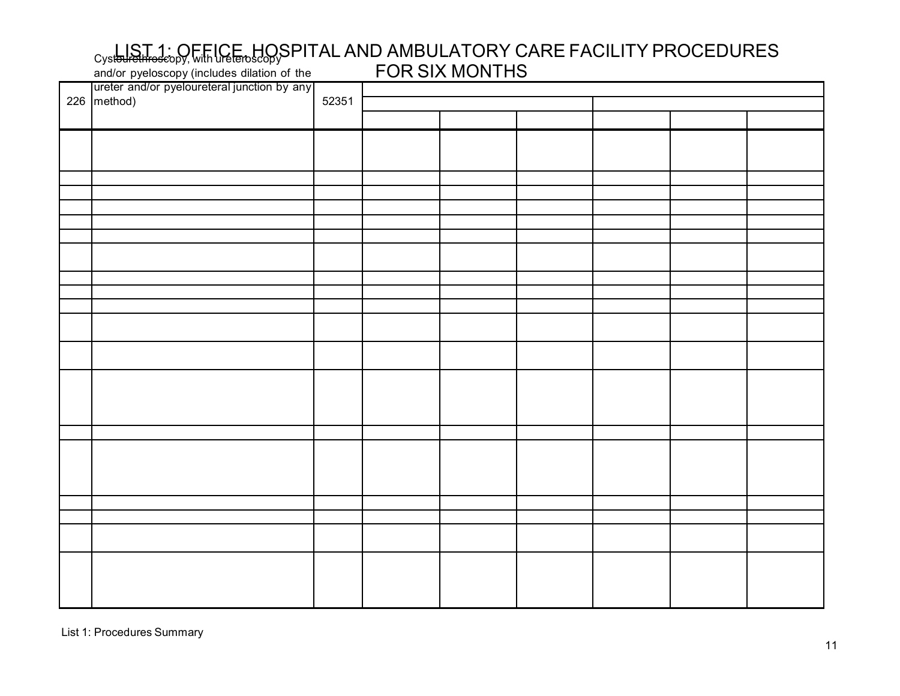#### Cyst<del>oured throsc</del>opy, with UGE of HOSPITAL AND AMBULATORY CARE FACILITY PROCEDURES FOR SIX MONTHS and/or pyeloscopy (includes dilation of the

| ureter and/or pyeloureteral junction by any<br>226 method) |       |  |  |  |  |  |  |  |
|------------------------------------------------------------|-------|--|--|--|--|--|--|--|
|                                                            | 52351 |  |  |  |  |  |  |  |
|                                                            |       |  |  |  |  |  |  |  |
|                                                            |       |  |  |  |  |  |  |  |
|                                                            |       |  |  |  |  |  |  |  |
|                                                            |       |  |  |  |  |  |  |  |
|                                                            |       |  |  |  |  |  |  |  |
|                                                            |       |  |  |  |  |  |  |  |
|                                                            |       |  |  |  |  |  |  |  |
|                                                            |       |  |  |  |  |  |  |  |
|                                                            |       |  |  |  |  |  |  |  |
|                                                            |       |  |  |  |  |  |  |  |
|                                                            |       |  |  |  |  |  |  |  |
|                                                            |       |  |  |  |  |  |  |  |
|                                                            |       |  |  |  |  |  |  |  |
|                                                            |       |  |  |  |  |  |  |  |
|                                                            |       |  |  |  |  |  |  |  |
|                                                            |       |  |  |  |  |  |  |  |
|                                                            |       |  |  |  |  |  |  |  |
|                                                            |       |  |  |  |  |  |  |  |
|                                                            |       |  |  |  |  |  |  |  |
|                                                            |       |  |  |  |  |  |  |  |
|                                                            |       |  |  |  |  |  |  |  |
|                                                            |       |  |  |  |  |  |  |  |
|                                                            |       |  |  |  |  |  |  |  |
|                                                            |       |  |  |  |  |  |  |  |
|                                                            |       |  |  |  |  |  |  |  |
|                                                            |       |  |  |  |  |  |  |  |
|                                                            |       |  |  |  |  |  |  |  |
|                                                            |       |  |  |  |  |  |  |  |
|                                                            |       |  |  |  |  |  |  |  |
|                                                            |       |  |  |  |  |  |  |  |
|                                                            |       |  |  |  |  |  |  |  |
|                                                            |       |  |  |  |  |  |  |  |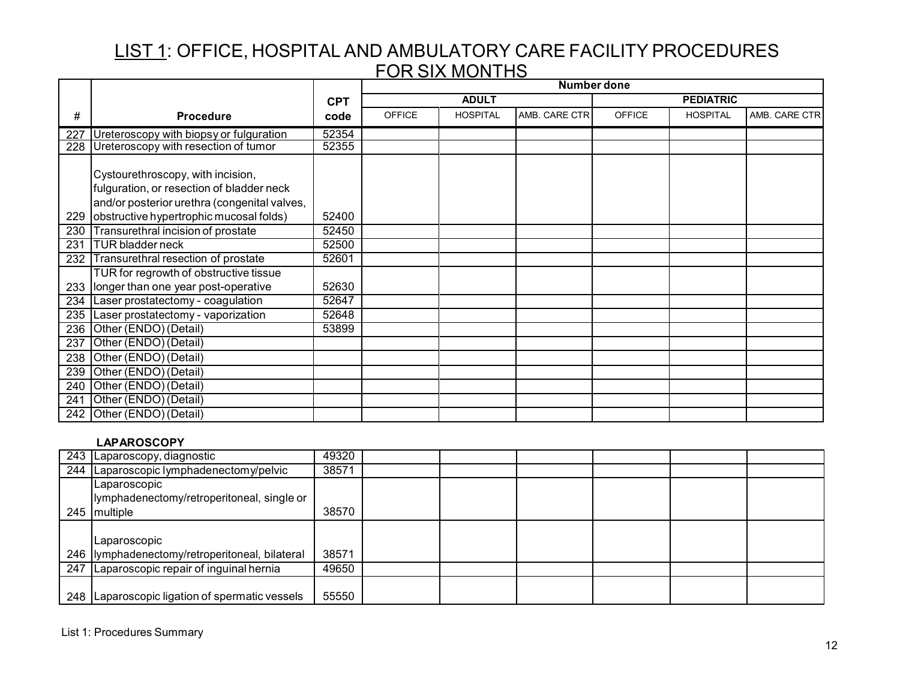|     |                                                                                                                                |            | <b>Number done</b> |                 |               |               |                  |               |
|-----|--------------------------------------------------------------------------------------------------------------------------------|------------|--------------------|-----------------|---------------|---------------|------------------|---------------|
|     |                                                                                                                                | <b>CPT</b> |                    | <b>ADULT</b>    |               |               | <b>PEDIATRIC</b> |               |
| #   | <b>Procedure</b>                                                                                                               | code       | <b>OFFICE</b>      | <b>HOSPITAL</b> | AMB. CARE CTR | <b>OFFICE</b> | <b>HOSPITAL</b>  | AMB. CARE CTR |
|     | 227 Ureteroscopy with biopsy or fulguration                                                                                    | 52354      |                    |                 |               |               |                  |               |
|     | 228 Ureteroscopy with resection of tumor                                                                                       | 52355      |                    |                 |               |               |                  |               |
|     | Cystourethroscopy, with incision,<br>fulguration, or resection of bladder neck<br>and/or posterior urethra (congenital valves, |            |                    |                 |               |               |                  |               |
| 229 | obstructive hypertrophic mucosal folds)                                                                                        | 52400      |                    |                 |               |               |                  |               |
| 230 | Transurethral incision of prostate                                                                                             | 52450      |                    |                 |               |               |                  |               |
| 231 | <b>TUR bladder neck</b>                                                                                                        | 52500      |                    |                 |               |               |                  |               |
|     | 232 Transurethral resection of prostate                                                                                        | 52601      |                    |                 |               |               |                  |               |
|     | TUR for regrowth of obstructive tissue<br>233   longer than one year post-operative                                            | 52630      |                    |                 |               |               |                  |               |
|     | 234 Laser prostatectomy - coagulation                                                                                          | 52647      |                    |                 |               |               |                  |               |
|     | 235 Laser prostatectomy - vaporization                                                                                         | 52648      |                    |                 |               |               |                  |               |
|     | 236 Other (ENDO) (Detail)                                                                                                      | 53899      |                    |                 |               |               |                  |               |
| 237 | Other (ENDO) (Detail)                                                                                                          |            |                    |                 |               |               |                  |               |
|     | 238 Other (ENDO) (Detail)                                                                                                      |            |                    |                 |               |               |                  |               |
| 239 | Other (ENDO) (Detail)                                                                                                          |            |                    |                 |               |               |                  |               |
| 240 | Other (ENDO) (Detail)                                                                                                          |            |                    |                 |               |               |                  |               |
| 241 | Other (ENDO) (Detail)                                                                                                          |            |                    |                 |               |               |                  |               |
|     | 242 Other (ENDO) (Detail)                                                                                                      |            |                    |                 |               |               |                  |               |

### **LAPAROSCOPY**

|     | 243 Laparoscopy, diagnostic                      | 49320 |  |  |  |
|-----|--------------------------------------------------|-------|--|--|--|
|     | 244 Laparoscopic lymphadenectomy/pelvic          | 38571 |  |  |  |
|     | <b>Laparoscopic</b>                              |       |  |  |  |
|     | lymphadenectomy/retroperitoneal, single or       |       |  |  |  |
| 245 | multiple                                         | 38570 |  |  |  |
|     |                                                  |       |  |  |  |
|     | Laparoscopic                                     |       |  |  |  |
|     | 246  lymphadenectomy/retroperitoneal, bilateral  | 38571 |  |  |  |
|     | 247 Laparoscopic repair of inguinal hernia       | 49650 |  |  |  |
|     |                                                  |       |  |  |  |
|     | 248   Laparoscopic ligation of spermatic vessels | 55550 |  |  |  |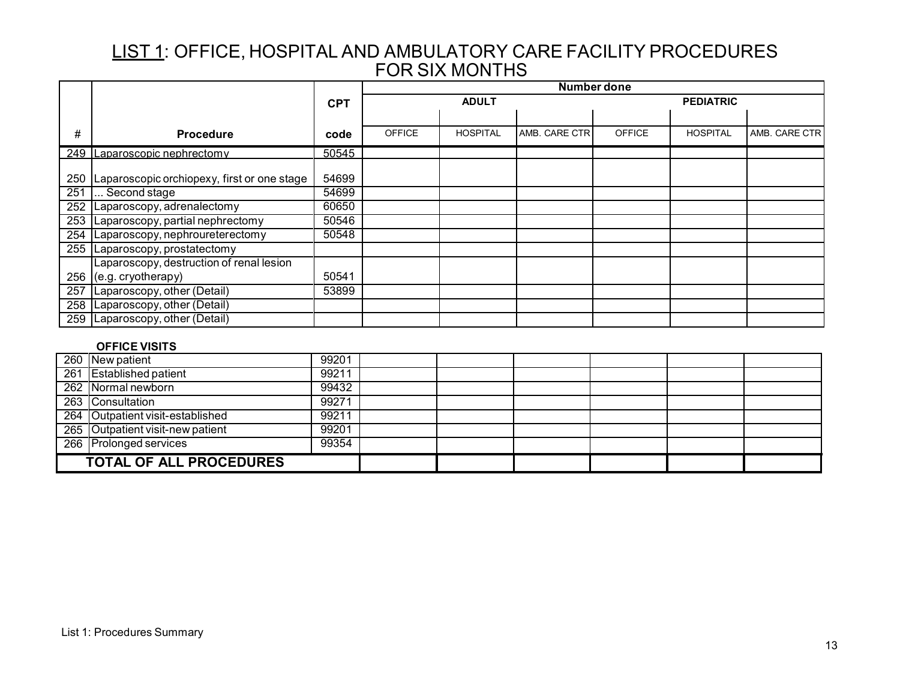|     |                                             |            | <b>Number done</b> |                 |               |               |                  |               |
|-----|---------------------------------------------|------------|--------------------|-----------------|---------------|---------------|------------------|---------------|
|     |                                             | <b>CPT</b> |                    | <b>ADULT</b>    |               |               | <b>PEDIATRIC</b> |               |
|     |                                             |            |                    |                 |               |               |                  |               |
| #   | <b>Procedure</b>                            | code       | <b>OFFICE</b>      | <b>HOSPITAL</b> | AMB. CARE CTR | <b>OFFICE</b> | <b>HOSPITAL</b>  | AMB. CARE CTR |
|     | 249 Laparoscopic nephrectomy                | 50545      |                    |                 |               |               |                  |               |
| 250 | Laparoscopic orchiopexy, first or one stage | 54699      |                    |                 |               |               |                  |               |
| 251 | Second stage                                | 54699      |                    |                 |               |               |                  |               |
| 252 | Laparoscopy, adrenalectomy                  | 60650      |                    |                 |               |               |                  |               |
| 253 | Laparoscopy, partial nephrectomy            | 50546      |                    |                 |               |               |                  |               |
| 254 | Laparoscopy, nephroureterectomy             | 50548      |                    |                 |               |               |                  |               |
|     | 255 Laparoscopy, prostatectomy              |            |                    |                 |               |               |                  |               |
|     | Laparoscopy, destruction of renal lesion    |            |                    |                 |               |               |                  |               |
| 256 | (e.g. cryotherapy)                          | 50541      |                    |                 |               |               |                  |               |
| 257 | Laparoscopy, other (Detail)                 | 53899      |                    |                 |               |               |                  |               |
| 258 | Laparoscopy, other (Detail)                 |            |                    |                 |               |               |                  |               |
| 259 | Laparoscopy, other (Detail)                 |            |                    |                 |               |               |                  |               |
|     |                                             |            |                    |                 |               |               |                  |               |

### **OFFICE VISITS**

|                                | 260 New patient                  | 99201 |  |  |  |
|--------------------------------|----------------------------------|-------|--|--|--|
|                                | 261 Established patient          | 99211 |  |  |  |
|                                | 262 Normal newborn               | 99432 |  |  |  |
|                                | 263 Consultation                 | 99271 |  |  |  |
|                                | 264 Outpatient visit-established | 99211 |  |  |  |
|                                | 265 Outpatient visit-new patient | 99201 |  |  |  |
|                                | 266 Prolonged services           | 99354 |  |  |  |
| <b>TOTAL OF ALL PROCEDURES</b> |                                  |       |  |  |  |